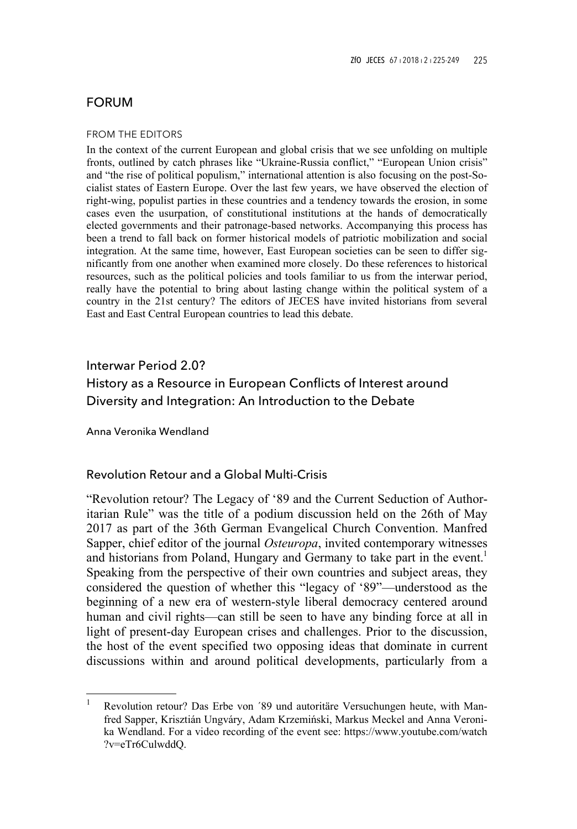# FORUM

#### FROM THE EDITORS

In the context of the current European and global crisis that we see unfolding on multiple fronts, outlined by catch phrases like "Ukraine-Russia conflict," "European Union crisis" and "the rise of political populism," international attention is also focusing on the post-Socialist states of Eastern Europe. Over the last few years, we have observed the election of right-wing, populist parties in these countries and a tendency towards the erosion, in some cases even the usurpation, of constitutional institutions at the hands of democratically elected governments and their patronage-based networks. Accompanying this process has been a trend to fall back on former historical models of patriotic mobilization and social integration. At the same time, however, East European societies can be seen to differ significantly from one another when examined more closely. Do these references to historical resources, such as the political policies and tools familiar to us from the interwar period, really have the potential to bring about lasting change within the political system of a country in the 21st century? The editors of JECES have invited historians from several East and East Central European countries to lead this debate.

# Interwar Period 2.0? History as a Resource in European Conflicts of Interest around Diversity and Integration: An Introduction to the Debate

Anna Veronika Wendland

֦

# Revolution Retour and a Global Multi-Crisis

"Revolution retour? The Legacy of '89 and the Current Seduction of Authoritarian Rule" was the title of a podium discussion held on the 26th of May 2017 as part of the 36th German Evangelical Church Convention. Manfred Sapper, chief editor of the journal *Osteuropa*, invited contemporary witnesses and historians from Poland, Hungary and Germany to take part in the event.<sup>1</sup> Speaking from the perspective of their own countries and subject areas, they considered the question of whether this "legacy of '89"—understood as the beginning of a new era of western-style liberal democracy centered around human and civil rights—can still be seen to have any binding force at all in light of present-day European crises and challenges. Prior to the discussion, the host of the event specified two opposing ideas that dominate in current discussions within and around political developments, particularly from a

<sup>1</sup> Revolution retour? Das Erbe von ´89 und autoritäre Versuchungen heute, with Manfred Sapper, Krisztián Ungváry, Adam Krzemiński, Markus Meckel and Anna Veronika Wendland. For a video recording of the event see: https://www.youtube.com/watch ?v=eTr6CulwddQ.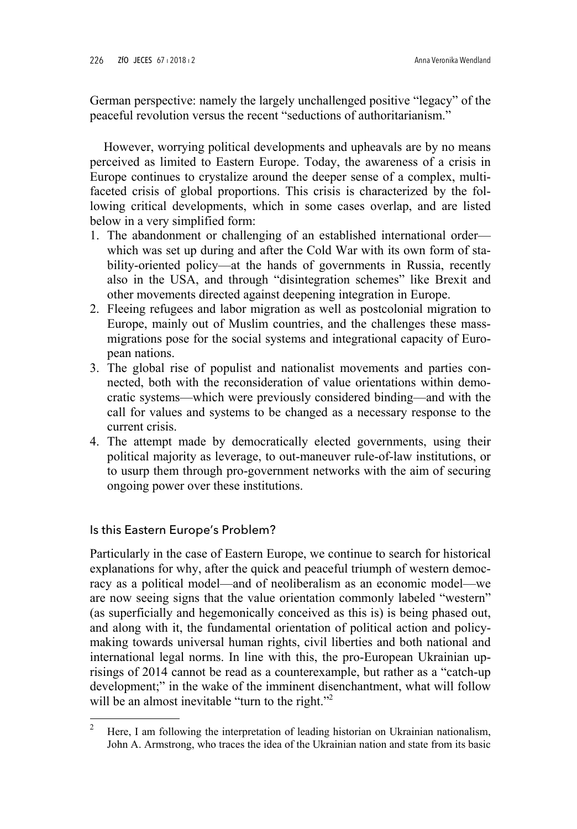German perspective: namely the largely unchallenged positive "legacy" of the peaceful revolution versus the recent "seductions of authoritarianism."

However, worrying political developments and upheavals are by no means perceived as limited to Eastern Europe. Today, the awareness of a crisis in Europe continues to crystalize around the deeper sense of a complex, multifaceted crisis of global proportions. This crisis is characterized by the following critical developments, which in some cases overlap, and are listed below in a very simplified form:

- 1. The abandonment or challenging of an established international order which was set up during and after the Cold War with its own form of stability-oriented policy—at the hands of governments in Russia, recently also in the USA, and through "disintegration schemes" like Brexit and other movements directed against deepening integration in Europe.
- 2. Fleeing refugees and labor migration as well as postcolonial migration to Europe, mainly out of Muslim countries, and the challenges these massmigrations pose for the social systems and integrational capacity of European nations.
- 3. The global rise of populist and nationalist movements and parties connected, both with the reconsideration of value orientations within democratic systems—which were previously considered binding—and with the call for values and systems to be changed as a necessary response to the current crisis.
- 4. The attempt made by democratically elected governments, using their political majority as leverage, to out-maneuver rule-of-law institutions, or to usurp them through pro-government networks with the aim of securing ongoing power over these institutions.

# Is this Eastern Europe's Problem?

ı

Particularly in the case of Eastern Europe, we continue to search for historical explanations for why, after the quick and peaceful triumph of western democracy as a political model—and of neoliberalism as an economic model—we are now seeing signs that the value orientation commonly labeled "western" (as superficially and hegemonically conceived as this is) is being phased out, and along with it, the fundamental orientation of political action and policymaking towards universal human rights, civil liberties and both national and international legal norms. In line with this, the pro-European Ukrainian uprisings of 2014 cannot be read as a counterexample, but rather as a "catch-up development;" in the wake of the imminent disenchantment, what will follow will be an almost inevitable "turn to the right."<sup>2</sup>

<sup>2</sup> Here, I am following the interpretation of leading historian on Ukrainian nationalism, John A. Armstrong, who traces the idea of the Ukrainian nation and state from its basic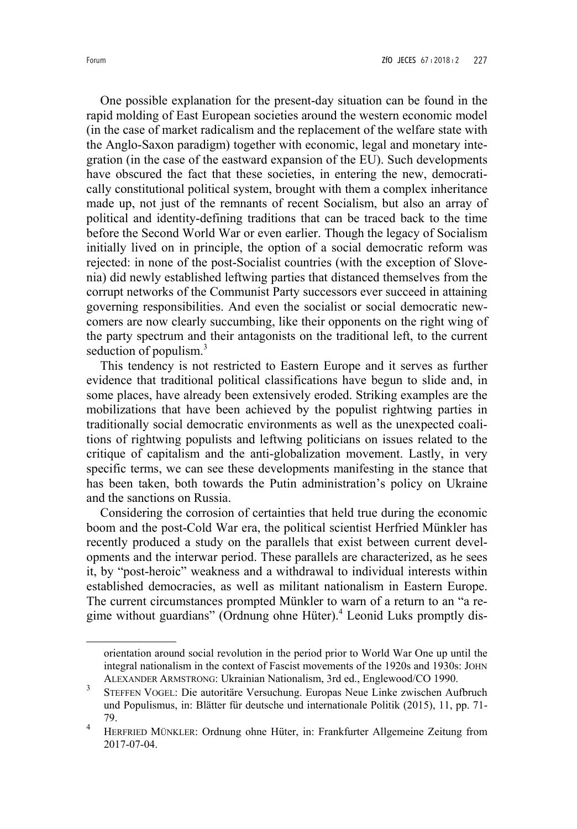One possible explanation for the present-day situation can be found in the rapid molding of East European societies around the western economic model (in the case of market radicalism and the replacement of the welfare state with the Anglo-Saxon paradigm) together with economic, legal and monetary integration (in the case of the eastward expansion of the EU). Such developments have obscured the fact that these societies, in entering the new, democratically constitutional political system, brought with them a complex inheritance made up, not just of the remnants of recent Socialism, but also an array of political and identity-defining traditions that can be traced back to the time before the Second World War or even earlier. Though the legacy of Socialism initially lived on in principle, the option of a social democratic reform was rejected: in none of the post-Socialist countries (with the exception of Slovenia) did newly established leftwing parties that distanced themselves from the corrupt networks of the Communist Party successors ever succeed in attaining governing responsibilities. And even the socialist or social democratic newcomers are now clearly succumbing, like their opponents on the right wing of the party spectrum and their antagonists on the traditional left, to the current seduction of populism. $3$ 

This tendency is not restricted to Eastern Europe and it serves as further evidence that traditional political classifications have begun to slide and, in some places, have already been extensively eroded. Striking examples are the mobilizations that have been achieved by the populist rightwing parties in traditionally social democratic environments as well as the unexpected coalitions of rightwing populists and leftwing politicians on issues related to the critique of capitalism and the anti-globalization movement. Lastly, in very specific terms, we can see these developments manifesting in the stance that has been taken, both towards the Putin administration's policy on Ukraine and the sanctions on Russia.

Considering the corrosion of certainties that held true during the economic boom and the post-Cold War era, the political scientist Herfried Münkler has recently produced a study on the parallels that exist between current developments and the interwar period. These parallels are characterized, as he sees it, by "post-heroic" weakness and a withdrawal to individual interests within established democracies, as well as militant nationalism in Eastern Europe. The current circumstances prompted Münkler to warn of a return to an "a regime without guardians" (Ordnung ohne Hüter).<sup>4</sup> Leonid Luks promptly dis-

ı

orientation around social revolution in the period prior to World War One up until the integral nationalism in the context of Fascist movements of the 1920s and 1930s: JOHN ALEXANDER ARMSTRONG: Ukrainian Nationalism, 3rd ed., Englewood/CO 1990.

<sup>3</sup> STEFFEN VOGEL: Die autoritäre Versuchung. Europas Neue Linke zwischen Aufbruch und Populismus, in: Blätter für deutsche und internationale Politik (2015), 11, pp. 71- 79.

<sup>4</sup> HERFRIED MÜNKLER: Ordnung ohne Hüter, in: Frankfurter Allgemeine Zeitung from 2017-07-04.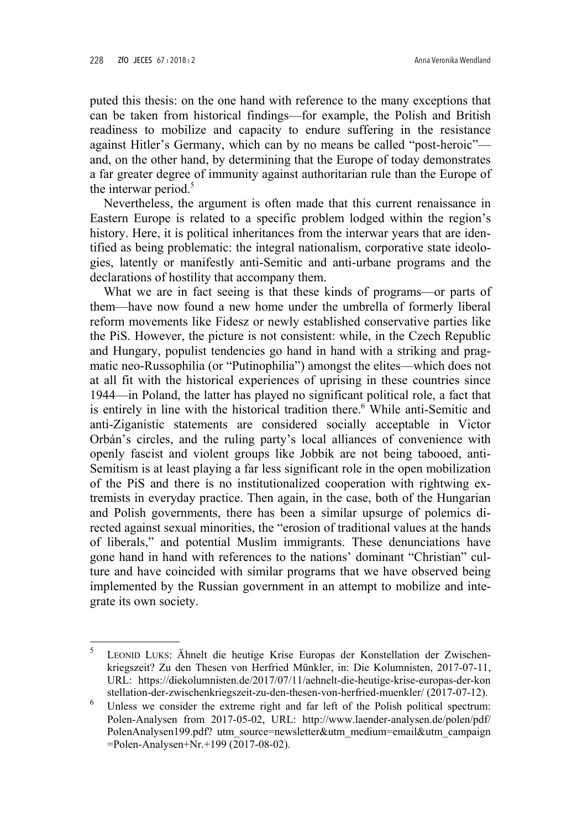ı

puted this thesis: on the one hand with reference to the many exceptions that can be taken from historical findings—for example, the Polish and British readiness to mobilize and capacity to endure suffering in the resistance against Hitler's Germany, which can by no means be called "post-heroic" and, on the other hand, by determining that the Europe of today demonstrates a far greater degree of immunity against authoritarian rule than the Europe of the interwar period.<sup>5</sup>

Nevertheless, the argument is often made that this current renaissance in Eastern Europe is related to a specific problem lodged within the region's history. Here, it is political inheritances from the interwar years that are identified as being problematic: the integral nationalism, corporative state ideologies, latently or manifestly anti-Semitic and anti-urbane programs and the declarations of hostility that accompany them.

What we are in fact seeing is that these kinds of programs—or parts of them—have now found a new home under the umbrella of formerly liberal reform movements like Fidesz or newly established conservative parties like the PiS. However, the picture is not consistent: while, in the Czech Republic and Hungary, populist tendencies go hand in hand with a striking and pragmatic neo-Russophilia (or "Putinophilia") amongst the elites—which does not at all fit with the historical experiences of uprising in these countries since 1944—in Poland, the latter has played no significant political role, a fact that is entirely in line with the historical tradition there.<sup>6</sup> While anti-Semitic and anti-Ziganistic statements are considered socially acceptable in Victor Orbán's circles, and the ruling party's local alliances of convenience with openly fascist and violent groups like Jobbik are not being tabooed, anti-Semitism is at least playing a far less significant role in the open mobilization of the PiS and there is no institutionalized cooperation with rightwing extremists in everyday practice. Then again, in the case, both of the Hungarian and Polish governments, there has been a similar upsurge of polemics directed against sexual minorities, the "erosion of traditional values at the hands of liberals," and potential Muslim immigrants. These denunciations have gone hand in hand with references to the nations' dominant "Christian" culture and have coincided with similar programs that we have observed being implemented by the Russian government in an attempt to mobilize and integrate its own society.

<sup>5</sup> LEONID LUKS: Ähnelt die heutige Krise Europas der Konstellation der Zwischenkriegszeit? Zu den Thesen von Herfried Münkler, in: Die Kolumnisten, 2017-07-11, URL: https://diekolumnisten.de/2017/07/11/aehnelt-die-heutige-krise-europas-der-kon stellation-der-zwischenkriegszeit-zu-den-thesen-von-herfried-muenkler/ (2017-07-12).

<sup>6</sup> Unless we consider the extreme right and far left of the Polish political spectrum: Polen-Analysen from 2017-05-02, URL: http://www.laender-analysen.de/polen/pdf/ PolenAnalysen199.pdf? utm\_source=newsletter&utm\_medium=email&utm\_campaign =Polen-Analysen+Nr.+199 (2017-08-02).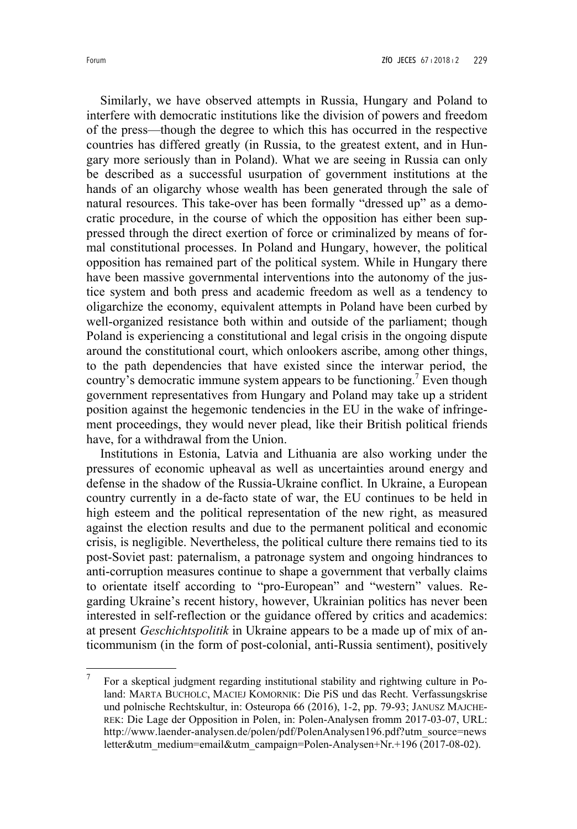Similarly, we have observed attempts in Russia, Hungary and Poland to interfere with democratic institutions like the division of powers and freedom of the press—though the degree to which this has occurred in the respective countries has differed greatly (in Russia, to the greatest extent, and in Hungary more seriously than in Poland). What we are seeing in Russia can only be described as a successful usurpation of government institutions at the hands of an oligarchy whose wealth has been generated through the sale of natural resources. This take-over has been formally "dressed up" as a democratic procedure, in the course of which the opposition has either been suppressed through the direct exertion of force or criminalized by means of formal constitutional processes. In Poland and Hungary, however, the political opposition has remained part of the political system. While in Hungary there have been massive governmental interventions into the autonomy of the justice system and both press and academic freedom as well as a tendency to oligarchize the economy, equivalent attempts in Poland have been curbed by well-organized resistance both within and outside of the parliament; though Poland is experiencing a constitutional and legal crisis in the ongoing dispute around the constitutional court, which onlookers ascribe, among other things, to the path dependencies that have existed since the interwar period, the country's democratic immune system appears to be functioning.<sup>7</sup> Even though government representatives from Hungary and Poland may take up a strident position against the hegemonic tendencies in the EU in the wake of infringement proceedings, they would never plead, like their British political friends have, for a withdrawal from the Union.

Institutions in Estonia, Latvia and Lithuania are also working under the pressures of economic upheaval as well as uncertainties around energy and defense in the shadow of the Russia-Ukraine conflict. In Ukraine, a European country currently in a de-facto state of war, the EU continues to be held in high esteem and the political representation of the new right, as measured against the election results and due to the permanent political and economic crisis, is negligible. Nevertheless, the political culture there remains tied to its post-Soviet past: paternalism, a patronage system and ongoing hindrances to anti-corruption measures continue to shape a government that verbally claims to orientate itself according to "pro-European" and "western" values. Regarding Ukraine's recent history, however, Ukrainian politics has never been interested in self-reflection or the guidance offered by critics and academics: at present *Geschichtspolitik* in Ukraine appears to be a made up of mix of anticommunism (in the form of post-colonial, anti-Russia sentiment), positively

֦

<sup>7</sup> For a skeptical judgment regarding institutional stability and rightwing culture in Poland: MARTA BUCHOLC, MACIEJ KOMORNIK: Die PiS und das Recht. Verfassungskrise und polnische Rechtskultur, in: Osteuropa 66 (2016), 1-2, pp. 79-93; JANUSZ MAJCHE-REK: Die Lage der Opposition in Polen, in: Polen-Analysen fromm 2017-03-07, URL: http://www.laender-analysen.de/polen/pdf/PolenAnalysen196.pdf?utm\_source=news letter&utm\_medium=email&utm\_campaign=Polen-Analysen+Nr.+196 (2017-08-02).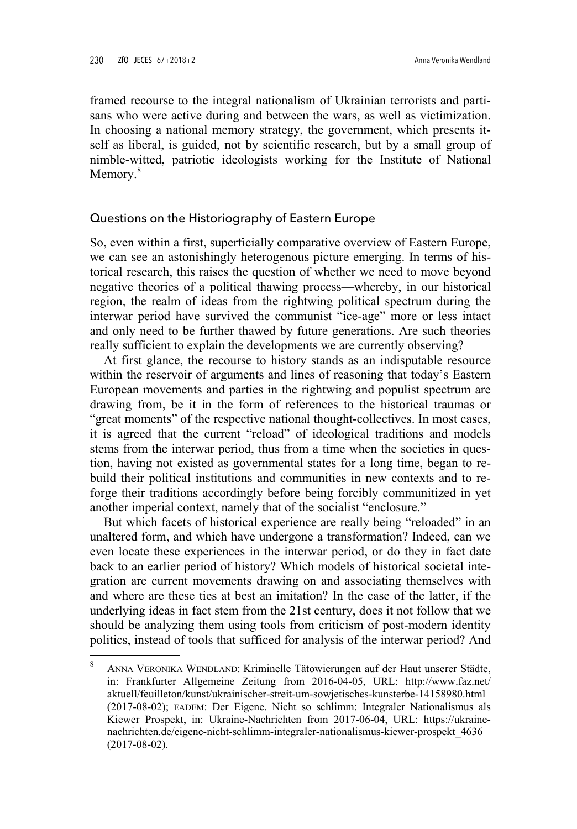framed recourse to the integral nationalism of Ukrainian terrorists and partisans who were active during and between the wars, as well as victimization. In choosing a national memory strategy, the government, which presents itself as liberal, is guided, not by scientific research, but by a small group of nimble-witted, patriotic ideologists working for the Institute of National Memory.<sup>8</sup>

#### Questions on the Historiography of Eastern Europe

So, even within a first, superficially comparative overview of Eastern Europe, we can see an astonishingly heterogenous picture emerging. In terms of historical research, this raises the question of whether we need to move beyond negative theories of a political thawing process—whereby, in our historical region, the realm of ideas from the rightwing political spectrum during the interwar period have survived the communist "ice-age" more or less intact and only need to be further thawed by future generations. Are such theories really sufficient to explain the developments we are currently observing?

At first glance, the recourse to history stands as an indisputable resource within the reservoir of arguments and lines of reasoning that today's Eastern European movements and parties in the rightwing and populist spectrum are drawing from, be it in the form of references to the historical traumas or "great moments" of the respective national thought-collectives. In most cases, it is agreed that the current "reload" of ideological traditions and models stems from the interwar period, thus from a time when the societies in question, having not existed as governmental states for a long time, began to rebuild their political institutions and communities in new contexts and to reforge their traditions accordingly before being forcibly communitized in yet another imperial context, namely that of the socialist "enclosure."

But which facets of historical experience are really being "reloaded" in an unaltered form, and which have undergone a transformation? Indeed, can we even locate these experiences in the interwar period, or do they in fact date back to an earlier period of history? Which models of historical societal integration are current movements drawing on and associating themselves with and where are these ties at best an imitation? In the case of the latter, if the underlying ideas in fact stem from the 21st century, does it not follow that we should be analyzing them using tools from criticism of post-modern identity politics, instead of tools that sufficed for analysis of the interwar period? And ı

<sup>8</sup> ANNA VERONIKA WENDLAND: Kriminelle Tätowierungen auf der Haut unserer Städte, in: Frankfurter Allgemeine Zeitung from 2016-04-05, URL: http://www.faz.net/ aktuell/feuilleton/kunst/ukrainischer-streit-um-sowjetisches-kunsterbe-14158980.html (2017-08-02); EADEM: Der Eigene. Nicht so schlimm: Integraler Nationalismus als Kiewer Prospekt, in: Ukraine-Nachrichten from 2017-06-04, URL: https://ukrainenachrichten.de/eigene-nicht-schlimm-integraler-nationalismus-kiewer-prospekt\_4636 (2017-08-02).